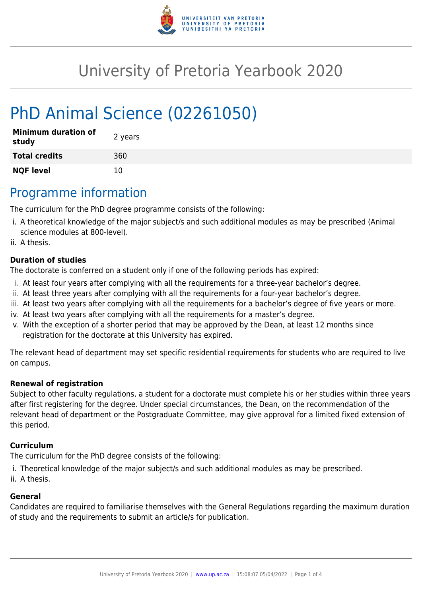

# University of Pretoria Yearbook 2020

# PhD Animal Science (02261050)

| <b>Minimum duration of</b><br>study | 2 years |
|-------------------------------------|---------|
| <b>Total credits</b>                | 360     |
| <b>NQF level</b>                    | 10      |

## Programme information

The curriculum for the PhD degree programme consists of the following:

- i. A theoretical knowledge of the major subject/s and such additional modules as may be prescribed (Animal science modules at 800-level).
- ii. A thesis.

#### **Duration of studies**

The doctorate is conferred on a student only if one of the following periods has expired:

- i. At least four years after complying with all the requirements for a three-year bachelor's degree.
- ii. At least three years after complying with all the requirements for a four-year bachelor's degree.
- iii. At least two years after complying with all the requirements for a bachelor's degree of five years or more.
- iv. At least two years after complying with all the requirements for a master's degree.
- v. With the exception of a shorter period that may be approved by the Dean, at least 12 months since registration for the doctorate at this University has expired.

The relevant head of department may set specific residential requirements for students who are required to live on campus.

#### **Renewal of registration**

Subject to other faculty regulations, a student for a doctorate must complete his or her studies within three years after first registering for the degree. Under special circumstances, the Dean, on the recommendation of the relevant head of department or the Postgraduate Committee, may give approval for a limited fixed extension of this period.

#### **Curriculum**

The curriculum for the PhD degree consists of the following:

- i. Theoretical knowledge of the major subject/s and such additional modules as may be prescribed.
- ii. A thesis.

#### **General**

Candidates are required to familiarise themselves with the General Regulations regarding the maximum duration of study and the requirements to submit an article/s for publication.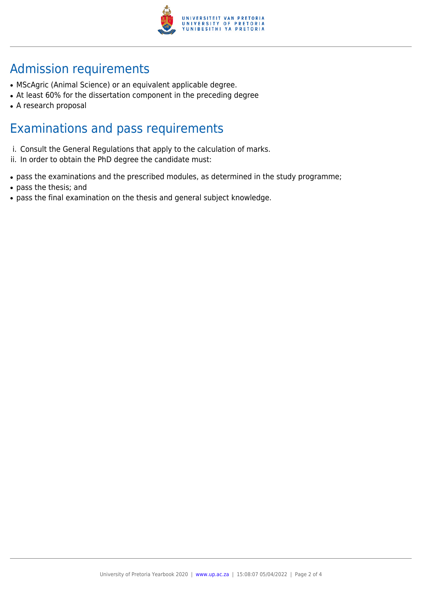

# Admission requirements

- MScAgric (Animal Science) or an equivalent applicable degree.
- At least 60% for the dissertation component in the preceding degree
- A research proposal

### Examinations and pass requirements

- i. Consult the General Regulations that apply to the calculation of marks.
- ii. In order to obtain the PhD degree the candidate must:
- pass the examinations and the prescribed modules, as determined in the study programme;
- pass the thesis; and
- pass the final examination on the thesis and general subject knowledge.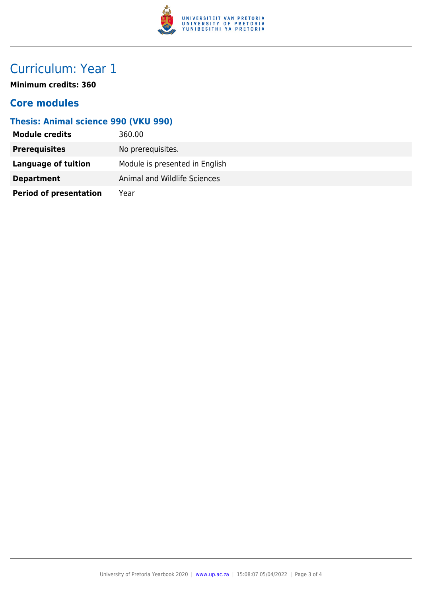

## Curriculum: Year 1

**Minimum credits: 360**

### **Core modules**

### **Thesis: Animal science 990 (VKU 990)**

| <b>Module credits</b>         | 360.00                         |
|-------------------------------|--------------------------------|
| <b>Prerequisites</b>          | No prerequisites.              |
| <b>Language of tuition</b>    | Module is presented in English |
| <b>Department</b>             | Animal and Wildlife Sciences   |
| <b>Period of presentation</b> | Year                           |